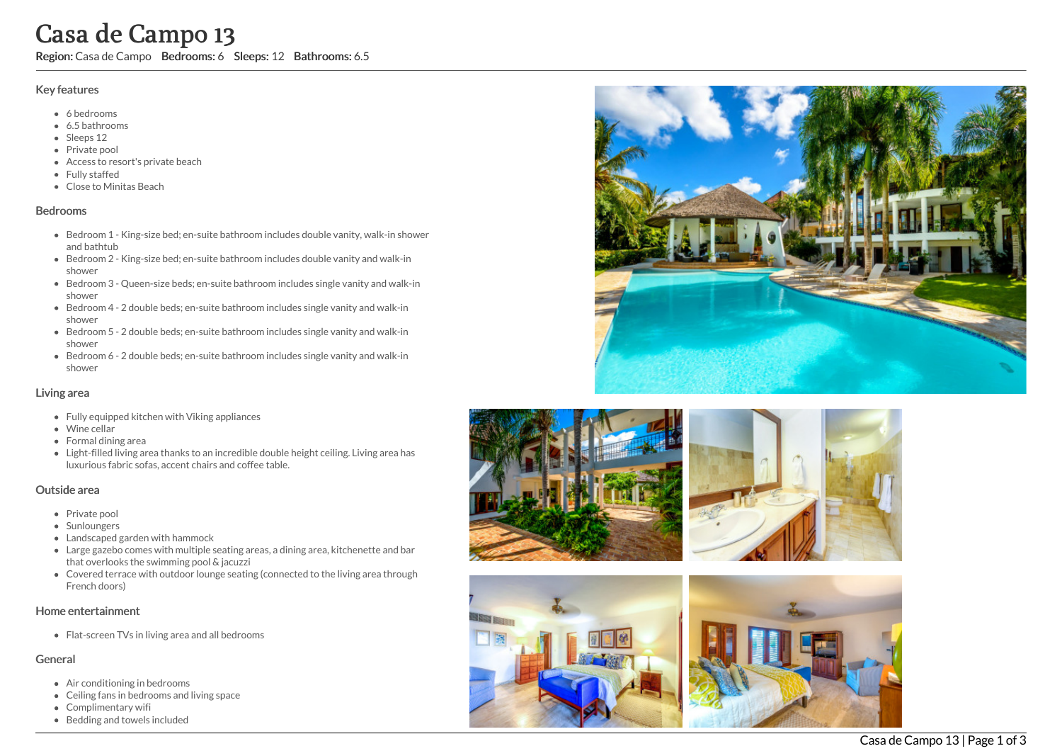## Key features

- 6 b e d r o o m s
- 6.5 b a t h r o o m s
- Sleeps 12
- Private pool
- Access to resort's private beach
- Fully staffed
- Clo s e t o Minit a s B e a c h

#### **Bedrooms**

- Bedroom 1 King-size bed; en-suite bathroom includes double vanity, walk-in shower and bathtub
- Bedroom 2 King-size bed; en-suite bathroom includes double vanity and walk-in s h o w e r
- Bedroom 3 Queen-size beds; en-suite bathroom includes single vanity and walk-in s h o w e r
- Bedroom 4 2 double beds; en-suite bathroom includes single vanity and walk-in s h o w e r
- Bedroom 5 2 double beds; en-suite bathroom includes single vanity and walk-in s h o w e r
- Bedroom 6 2 double beds; en-suite bathroom includes single vanity and walk-in s h o w e r

#### Living area

- Fully equipped kitchen with Viking appliances
- Wine cellar
- Formal dining area
- Light-filled living area thanks to an incredible double height ceiling. Living area has luxurious fabric sofas, accent chairs and coffee table. **Casa de Campo 13**<br>
Region: Casa de Campo Bedrooms: 6 Sleeps: 12 Bathrooms: 6.5<br>
Key features<br>
• 6 backrooms<br>
• 8 backrooms<br>
• Region: Casa de Casa de Casa de Casa de Casa de Casa de Casa de Casa de Casa de Casa de Casa d

## Outside area

- Private pool
- Sunloungers
- Landscaped garden with hammock
- Large gazebo comes with multiple seating areas, a dining area, kitchenette and bar that overlooks the swimming pool & jacuzzi
- Covered terrace with outdoor lounge seating (connected to the living area through French doors)

## Home entertainment

Flat-screen TVs in living area and all bedrooms

## General

- Air conditioning in bedrooms
- Ceiling fans in bedrooms and living space
- Complimentary wifi
- 









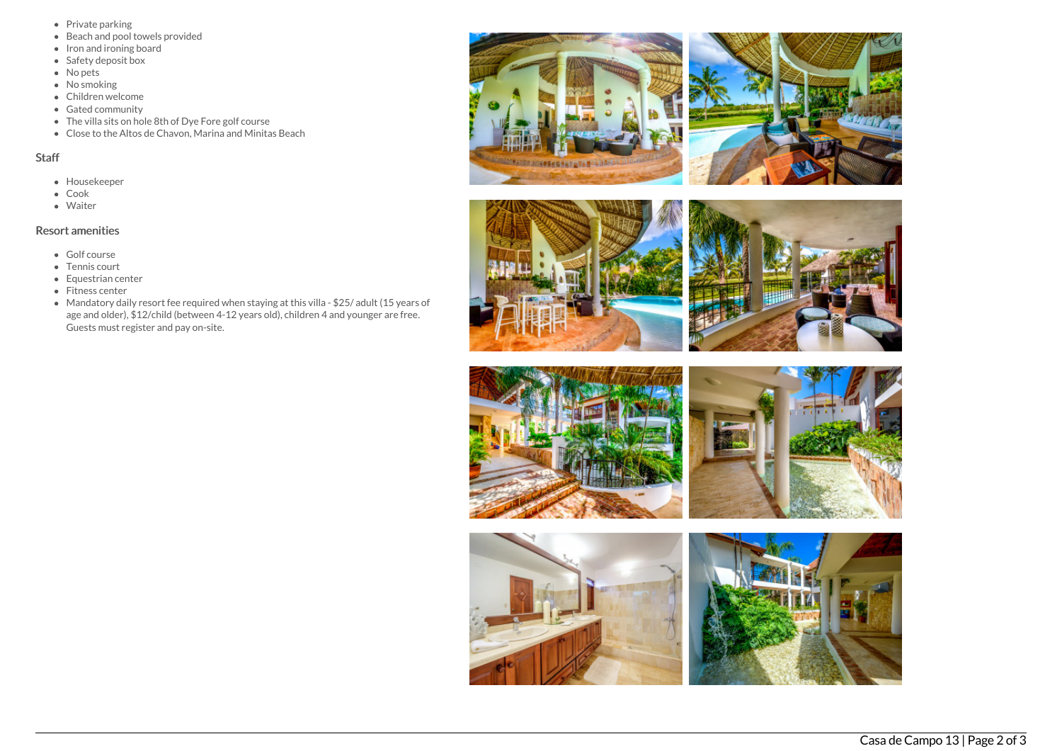- Private parking
- Beach and pool towels provided
- Iron and ironing board
- Safety deposit box
- $\bullet$  No pets
- No smoking
- Children welcome
- Gated community
- The villa sits on hole 8th of Dye Fore golf course
- Close to the Altos de Chavon, Marina and Minitas Beach

# Staff

- Housekeeper
- Cook
- Waiter

# Resort amenities

- Golf course
- Tennis court
- Equestrian center
- Fitness center
- Mandatory daily resort fee required when staying at this villa \$25/ adult (15 years of age and older), \$12/child (between 4-12 years old), children 4 and younger are free. Guests must register and pay on-site.